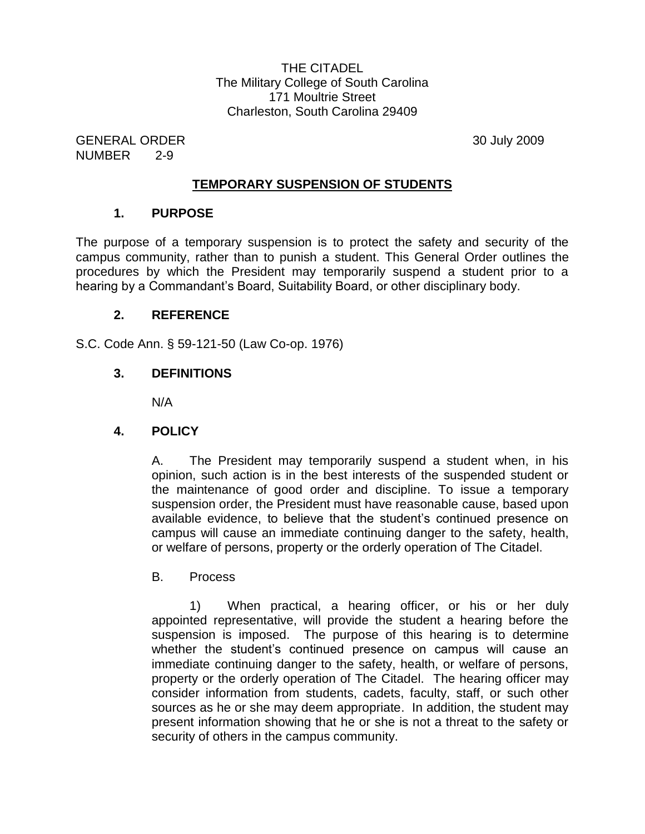THE CITADEL The Military College of South Carolina 171 Moultrie Street Charleston, South Carolina 29409

GENERAL ORDER 30 July 2009 NUMBER 2-9

### **TEMPORARY SUSPENSION OF STUDENTS**

#### **1. PURPOSE**

The purpose of a temporary suspension is to protect the safety and security of the campus community, rather than to punish a student. This General Order outlines the procedures by which the President may temporarily suspend a student prior to a hearing by a Commandant's Board, Suitability Board, or other disciplinary body.

### **2. REFERENCE**

S.C. Code Ann. § 59-121-50 (Law Co-op. 1976)

## **3. DEFINITIONS**

N/A

## **4. POLICY**

A. The President may temporarily suspend a student when, in his opinion, such action is in the best interests of the suspended student or the maintenance of good order and discipline. To issue a temporary suspension order, the President must have reasonable cause, based upon available evidence, to believe that the student's continued presence on campus will cause an immediate continuing danger to the safety, health, or welfare of persons, property or the orderly operation of The Citadel.

#### B. Process

1) When practical, a hearing officer, or his or her duly appointed representative, will provide the student a hearing before the suspension is imposed. The purpose of this hearing is to determine whether the student's continued presence on campus will cause an immediate continuing danger to the safety, health, or welfare of persons, property or the orderly operation of The Citadel. The hearing officer may consider information from students, cadets, faculty, staff, or such other sources as he or she may deem appropriate. In addition, the student may present information showing that he or she is not a threat to the safety or security of others in the campus community.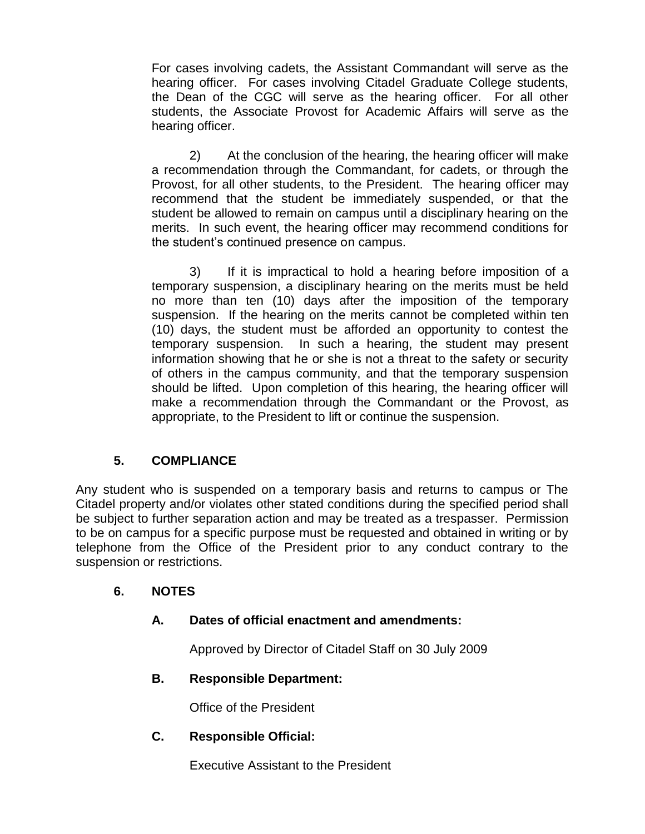For cases involving cadets, the Assistant Commandant will serve as the hearing officer. For cases involving Citadel Graduate College students, the Dean of the CGC will serve as the hearing officer. For all other students, the Associate Provost for Academic Affairs will serve as the hearing officer.

2) At the conclusion of the hearing, the hearing officer will make a recommendation through the Commandant, for cadets, or through the Provost, for all other students, to the President. The hearing officer may recommend that the student be immediately suspended, or that the student be allowed to remain on campus until a disciplinary hearing on the merits. In such event, the hearing officer may recommend conditions for the student's continued presence on campus.

3) If it is impractical to hold a hearing before imposition of a temporary suspension, a disciplinary hearing on the merits must be held no more than ten (10) days after the imposition of the temporary suspension. If the hearing on the merits cannot be completed within ten (10) days, the student must be afforded an opportunity to contest the temporary suspension. In such a hearing, the student may present information showing that he or she is not a threat to the safety or security of others in the campus community, and that the temporary suspension should be lifted. Upon completion of this hearing, the hearing officer will make a recommendation through the Commandant or the Provost, as appropriate, to the President to lift or continue the suspension.

# **5. COMPLIANCE**

Any student who is suspended on a temporary basis and returns to campus or The Citadel property and/or violates other stated conditions during the specified period shall be subject to further separation action and may be treated as a trespasser. Permission to be on campus for a specific purpose must be requested and obtained in writing or by telephone from the Office of the President prior to any conduct contrary to the suspension or restrictions.

# **6. NOTES**

## **A. Dates of official enactment and amendments:**

Approved by Director of Citadel Staff on 30 July 2009

## **B. Responsible Department:**

Office of the President

## **C. Responsible Official:**

Executive Assistant to the President